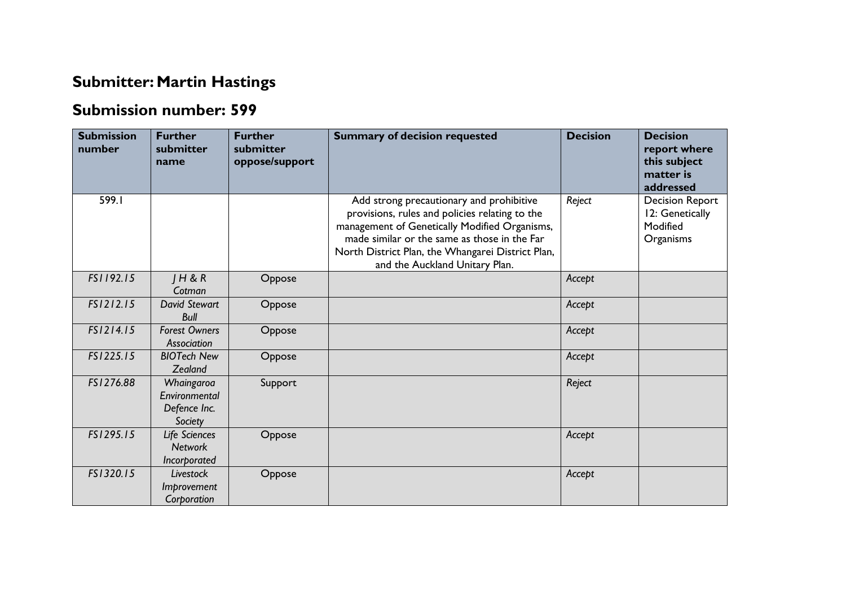## **Submitter: Martin Hastings**

## **Submission number: 599**

| <b>Submission</b><br>number | <b>Further</b><br>submitter<br>name                    | <b>Further</b><br>submitter<br>oppose/support | <b>Summary of decision requested</b>                                                                                                                                                                                                                                               | <b>Decision</b> | <b>Decision</b><br>report where<br>this subject<br>matter is<br>addressed |
|-----------------------------|--------------------------------------------------------|-----------------------------------------------|------------------------------------------------------------------------------------------------------------------------------------------------------------------------------------------------------------------------------------------------------------------------------------|-----------------|---------------------------------------------------------------------------|
| 599.I                       |                                                        |                                               | Add strong precautionary and prohibitive<br>provisions, rules and policies relating to the<br>management of Genetically Modified Organisms,<br>made similar or the same as those in the Far<br>North District Plan, the Whangarei District Plan,<br>and the Auckland Unitary Plan. | Reject          | <b>Decision Report</b><br>12: Genetically<br>Modified<br>Organisms        |
| FS1192.15                   | H & R<br>Cotman                                        | Oppose                                        |                                                                                                                                                                                                                                                                                    | Accept          |                                                                           |
| FS1212.15                   | <b>David Stewart</b><br><b>Bull</b>                    | Oppose                                        |                                                                                                                                                                                                                                                                                    | Accept          |                                                                           |
| FS1214.15                   | <b>Forest Owners</b><br>Association                    | Oppose                                        |                                                                                                                                                                                                                                                                                    | Accept          |                                                                           |
| FS1225.15                   | <b>BIOTech New</b><br>Zealand                          | Oppose                                        |                                                                                                                                                                                                                                                                                    | Accept          |                                                                           |
| FS1276.88                   | Whaingaroa<br>Environmental<br>Defence Inc.<br>Society | Support                                       |                                                                                                                                                                                                                                                                                    | Reject          |                                                                           |
| FS1295.15                   | Life Sciences<br><b>Network</b><br>Incorporated        | Oppose                                        |                                                                                                                                                                                                                                                                                    | Accept          |                                                                           |
| FS1320.15                   | Livestock<br>Improvement<br>Corporation                | Oppose                                        |                                                                                                                                                                                                                                                                                    | Accept          |                                                                           |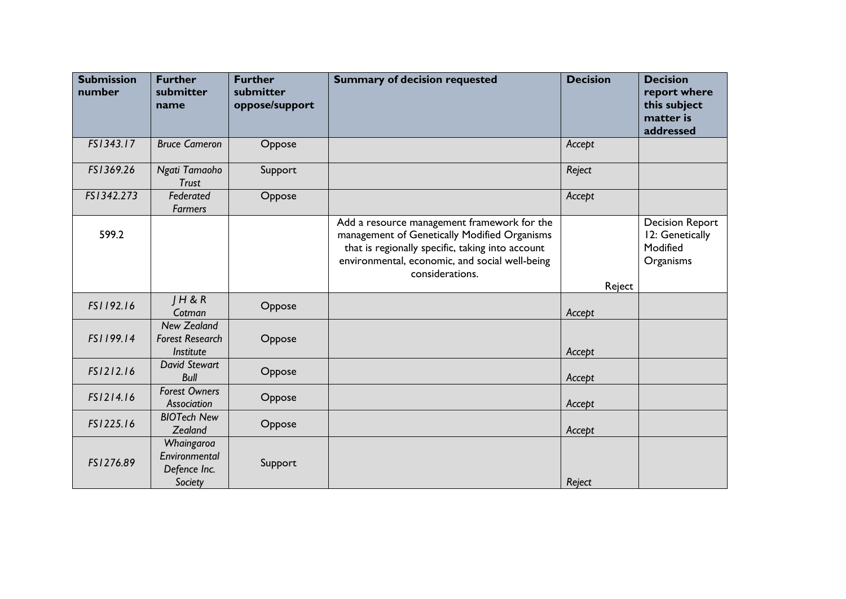| <b>Submission</b><br>number | <b>Further</b><br>submitter<br>name                       | <b>Further</b><br>submitter<br>oppose/support | <b>Summary of decision requested</b>                                                                                                                                                                                 | <b>Decision</b> | <b>Decision</b><br>report where<br>this subject<br>matter is<br>addressed |
|-----------------------------|-----------------------------------------------------------|-----------------------------------------------|----------------------------------------------------------------------------------------------------------------------------------------------------------------------------------------------------------------------|-----------------|---------------------------------------------------------------------------|
| FS1343.17                   | <b>Bruce Cameron</b>                                      | Oppose                                        |                                                                                                                                                                                                                      | Accept          |                                                                           |
| FS1369.26                   | Ngati Tamaoho<br><b>Trust</b>                             | Support                                       |                                                                                                                                                                                                                      | Reject          |                                                                           |
| FS1342.273                  | Federated<br><b>Farmers</b>                               | Oppose                                        |                                                                                                                                                                                                                      | Accept          |                                                                           |
| 599.2                       |                                                           |                                               | Add a resource management framework for the<br>management of Genetically Modified Organisms<br>that is regionally specific, taking into account<br>environmental, economic, and social well-being<br>considerations. | Reject          | <b>Decision Report</b><br>12: Genetically<br>Modified<br>Organisms        |
| FS1192.16                   | H & R<br>Cotman                                           | Oppose                                        |                                                                                                                                                                                                                      | Accept          |                                                                           |
| FS1199.14                   | <b>New Zealand</b><br><b>Forest Research</b><br>Institute | Oppose                                        |                                                                                                                                                                                                                      | Accept          |                                                                           |
| FS1212.16                   | <b>David Stewart</b><br><b>Bull</b>                       | Oppose                                        |                                                                                                                                                                                                                      | Accept          |                                                                           |
| FS1214.16                   | <b>Forest Owners</b><br>Association                       | Oppose                                        |                                                                                                                                                                                                                      | Accept          |                                                                           |
| FS1225.16                   | <b>BIOTech New</b><br>Zealand                             | Oppose                                        |                                                                                                                                                                                                                      | Accept          |                                                                           |
| FS1276.89                   | Whaingaroa<br>Environmental<br>Defence Inc.<br>Society    | Support                                       |                                                                                                                                                                                                                      | Reject          |                                                                           |